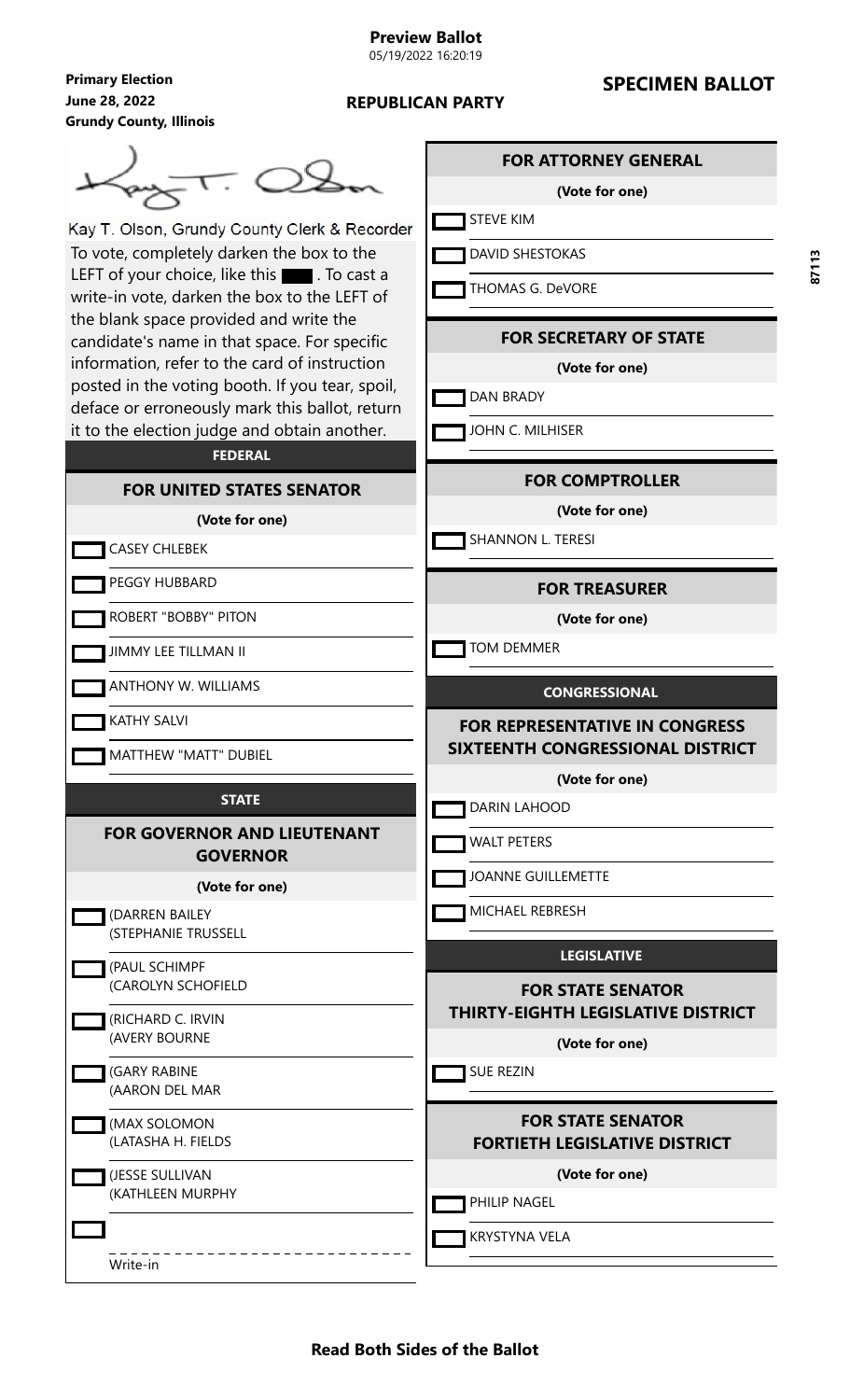# **SPECIMEN BALLOT**



Kay T. Olson, Grundy County Clerk & Recorder To vote, completely darken the box to the LEFT of your choice, like this  $\blacksquare$ . To cast a write-in vote, darken the box to the LEFT of the blank space provided and write the candidate's name in that space. For specific information, refer to the card of instruction posted in the voting booth. If you tear, spoil, deface or erroneously mark this ballot, return it to the election judge and obtain another.

## **FEDERAL**

#### **FOR UNITED STATES SENATOR**

**(Vote for one)**

#### CASEY CHLEBEK

PEGGY HUBBARD

ROBERT "BOBBY" PITON

JIMMY LEE TILLMAN II

ANTHONY W. WILLIAMS

KATHY SALVI

MATTHEW "MATT" DUBIEL

#### **STATE**

#### **FOR GOVERNOR AND LIEUTENANT GOVERNOR**

#### **(Vote for one)**

| (DARREN BAILEY<br>(STEPHANIE TRUSSELL |
|---------------------------------------|
| (PAUL SCHIMPF<br>(CAROLYN SCHOFIELD   |
| (RICHARD C. IRVIN<br>(AVERY BOURNE    |
| (GARY RABINE<br>(AARON DEL MAR        |
| (MAX SOLOMON<br>(LATASHA H. FIELDS    |
| (JESSE SULLIVAN                       |

(KATHLEEN MURPHY

Write-in

## **FOR ATTORNEY GENERAL**

#### **(Vote for one)**

STEVE KIM

**DAVID SHESTOKAS** 

THOMAS G. DeVORE

#### **FOR SECRETARY OF STATE**

**(Vote for one)**

**DAN BRADY** 

JOHN C. MILHISER

#### **FOR COMPTROLLER**

**(Vote for one)**

SHANNON L. TERESI

#### **FOR TREASURER**

**(Vote for one)**

TOM DEMMER

#### **CONGRESSIONAL**

**FOR REPRESENTATIVE IN CONGRESS SIXTEENTH CONGRESSIONAL DISTRICT**

**(Vote for one)**

**DARIN LAHOOD** 

WALT PETERS

JOANNE GUILLEMETTE

MICHAEL REBRESH

## **LEGISLATIVE**

**FOR STATE SENATOR THIRTY-EIGHTH LEGISLATIVE DISTRICT**

**(Vote for one)**

SUE REZIN

# **FOR STATE SENATOR FORTIETH LEGISLATIVE DISTRICT**

**(Vote for one)**

PHILIP NAGEL

**KRYSTYNA VELA** 

L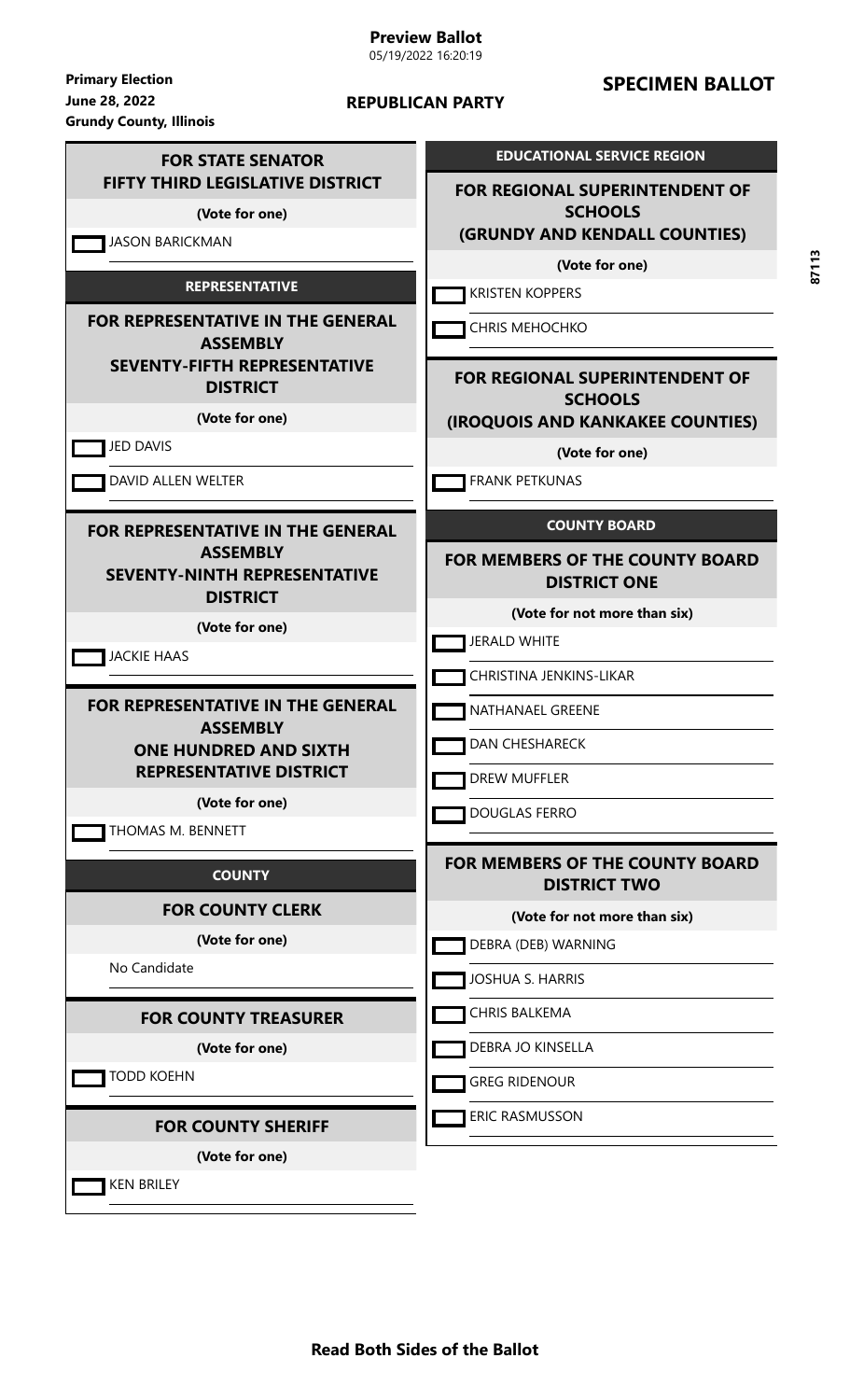# **Preview Ballot**

05/19/2022 16:20:19

**June 28, 2022 Primary Election Grundy County, Illinois**

#### **REPUBLICAN PARTY**

# **SPECIMEN BALLOT**

| <b>FOR STATE SENATOR</b>                                                  | <b>EDUCATIONAL SERVICE REGION</b>                             |
|---------------------------------------------------------------------------|---------------------------------------------------------------|
| <b>FIFTY THIRD LEGISLATIVE DISTRICT</b><br>(Vote for one)                 | <b>FOR REGIONAL SUPERINTENDENT OF</b><br><b>SCHOOLS</b>       |
| <b>JASON BARICKMAN</b>                                                    | (GRUNDY AND KENDALL COUNTIES)                                 |
|                                                                           | (Vote for one)                                                |
| <b>REPRESENTATIVE</b>                                                     | <b>KRISTEN KOPPERS</b>                                        |
| <b>FOR REPRESENTATIVE IN THE GENERAL</b><br><b>ASSEMBLY</b>               | <b>CHRIS MEHOCHKO</b>                                         |
| <b>SEVENTY-FIFTH REPRESENTATIVE</b><br><b>DISTRICT</b>                    | <b>FOR REGIONAL SUPERINTENDENT OF</b><br><b>SCHOOLS</b>       |
| (Vote for one)                                                            | (IROQUOIS AND KANKAKEE COUNTIES)                              |
| <b>JED DAVIS</b>                                                          | (Vote for one)                                                |
| DAVID ALLEN WELTER                                                        | <b>FRANK PETKUNAS</b>                                         |
| <b>FOR REPRESENTATIVE IN THE GENERAL</b>                                  | <b>COUNTY BOARD</b>                                           |
| <b>ASSEMBLY</b><br><b>SEVENTY-NINTH REPRESENTATIVE</b><br><b>DISTRICT</b> | <b>FOR MEMBERS OF THE COUNTY BOARD</b><br><b>DISTRICT ONE</b> |
| (Vote for one)                                                            | (Vote for not more than six)                                  |
| <b>JACKIE HAAS</b>                                                        | <b>JERALD WHITE</b>                                           |
|                                                                           | CHRISTINA JENKINS-LIKAR                                       |
| <b>FOR REPRESENTATIVE IN THE GENERAL</b>                                  | NATHANAEL GREENE                                              |
| <b>ASSEMBLY</b><br><b>ONE HUNDRED AND SIXTH</b>                           | <b>DAN CHESHARECK</b>                                         |
| <b>REPRESENTATIVE DISTRICT</b>                                            | DREW MUFFLER                                                  |
| (Vote for one)<br>THOMAS M. BENNETT                                       | DOUGLAS FERRO                                                 |
| <b>COUNTY</b>                                                             | <b>FOR MEMBERS OF THE COUNTY BOARD</b><br><b>DISTRICT TWO</b> |
| <b>FOR COUNTY CLERK</b>                                                   | (Vote for not more than six)                                  |
| (Vote for one)                                                            | DEBRA (DEB) WARNING                                           |
| No Candidate                                                              | <b>JOSHUA S. HARRIS</b>                                       |
| <b>FOR COUNTY TREASURER</b>                                               | <b>CHRIS BALKEMA</b>                                          |
| (Vote for one)                                                            | DEBRA JO KINSELLA                                             |
| <b>TODD KOEHN</b>                                                         | <b>GREG RIDENOUR</b>                                          |
| <b>FOR COUNTY SHERIFF</b>                                                 | ERIC RASMUSSON                                                |
| (Vote for one)                                                            |                                                               |
| <b>KEN BRILEY</b>                                                         |                                                               |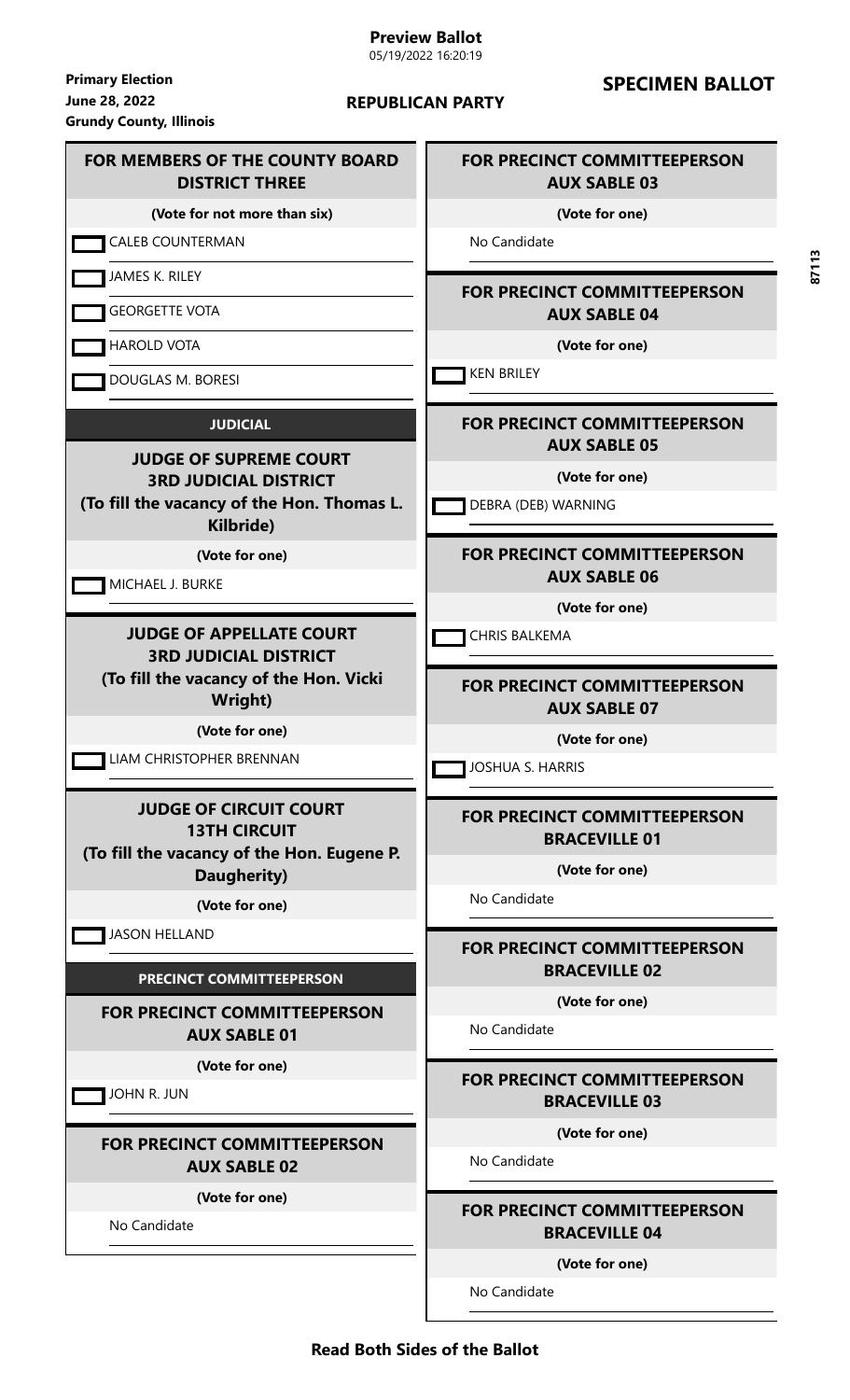#### **June 28, 2022 Primary Election Grundy County, Illinois**

#### **REPUBLICAN PARTY**

# **SPECIMEN BALLOT**

#### **FOR MEMBERS OF THE COUNTY BOARD DISTRICT THREE (Vote for not more than six) CALEB COUNTERMAN** JAMES K. RILEY GEORGETTE VOTA HAROLD VOTA DOUGLAS M. BORESI **JUDICIAL JUDGE OF SUPREME COURT 3RD JUDICIAL DISTRICT (To fill the vacancy of the Hon. Thomas L. Kilbride) (Vote for one) MICHAEL J. BURKE JUDGE OF APPELLATE COURT 3RD JUDICIAL DISTRICT (To fill the vacancy of the Hon. Vicki Wright) (Vote for one)** LIAM CHRISTOPHER BRENNAN **JUDGE OF CIRCUIT COURT 13TH CIRCUIT (To fill the vacancy of the Hon. Eugene P. Daugherity) (Vote for one)** JASON HELLAND **PRECINCT COMMITTEEPERSON FOR PRECINCT COMMITTEEPERSON AUX SABLE 01 (Vote for one)** JOHN R. JUN **FOR PRECINCT COMMITTEEPERSON AUX SABLE 02 (Vote for one)** No Candidate **FOR PRECINCT COMMITTEEPERSON AUX SABLE 03 (Vote for one)** No Candidate **FOR PRECINCT COMMITTEEPERSON AUX SABLE 04 (Vote for one) KEN BRILEY FOR PRECINCT COMMITTEEPERSON AUX SABLE 05 (Vote for one) DEBRA (DEB) WARNING FOR PRECINCT COMMITTEEPERSON AUX SABLE 06 (Vote for one) CHRIS BALKEMA FOR PRECINCT COMMITTEEPERSON AUX SABLE 07 (Vote for one)** JOSHUA S. HARRIS **FOR PRECINCT COMMITTEEPERSON BRACEVILLE 01 (Vote for one)** No Candidate **FOR PRECINCT COMMITTEEPERSON BRACEVILLE 02 (Vote for one)** No Candidate **FOR PRECINCT COMMITTEEPERSON BRACEVILLE 03 (Vote for one)** No Candidate **FOR PRECINCT COMMITTEEPERSON BRACEVILLE 04 (Vote for one)**

**87113**

No Candidate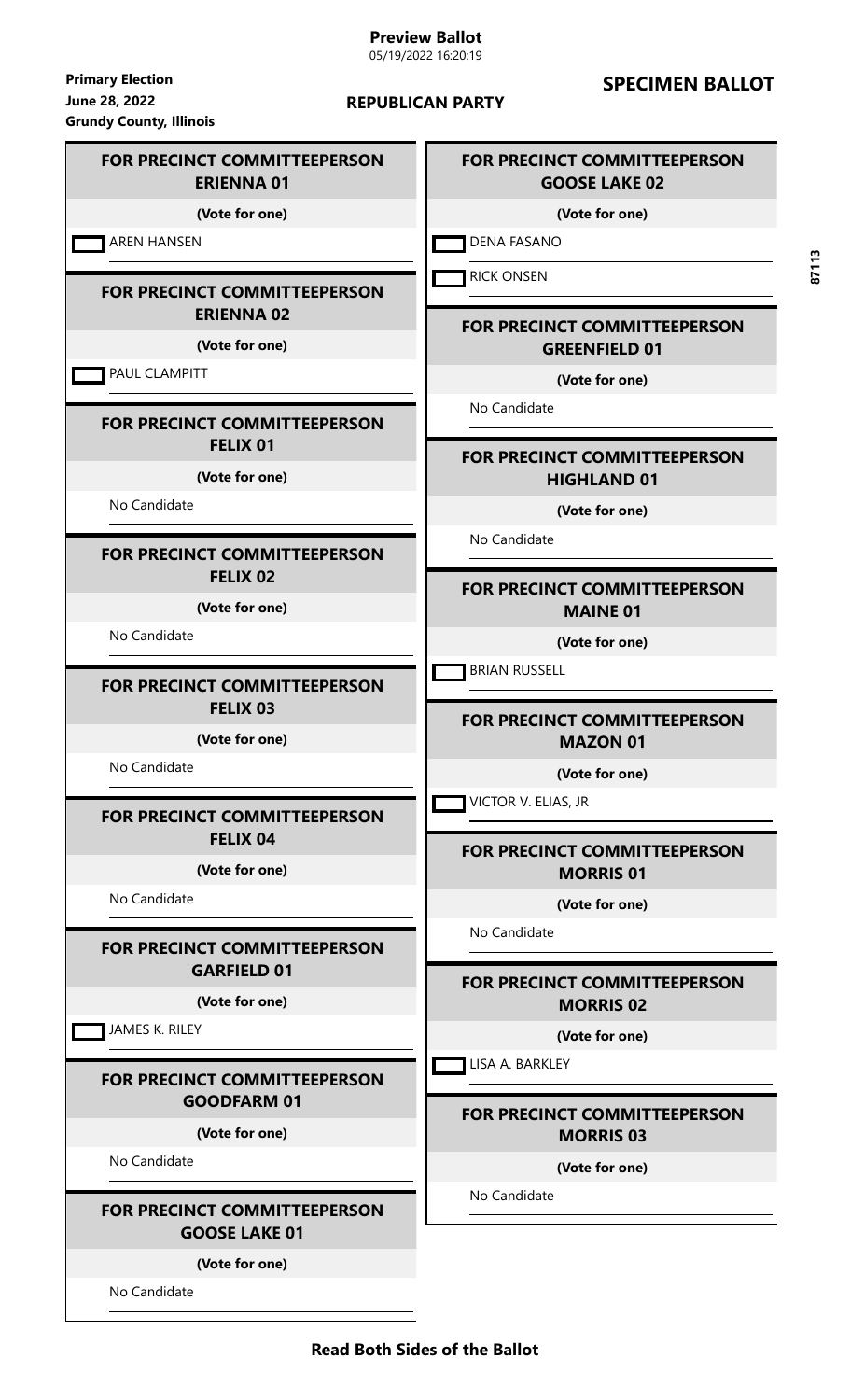**June 28, 2022 Primary Election Grundy County, Illinois**

#### **REPUBLICAN PARTY**

# **SPECIMEN BALLOT**

#### **FOR PRECINCT COMMITTEEPERSON ERIENNA 01**

**(Vote for one)**

AREN HANSEN

#### **FOR PRECINCT COMMITTEEPERSON ERIENNA 02**

**(Vote for one)**

**PAUL CLAMPITT** 

#### **FOR PRECINCT COMMITTEEPERSON FELIX 01**

**(Vote for one)**

No Candidate

#### **FOR PRECINCT COMMITTEEPERSON FELIX 02**

**(Vote for one)**

No Candidate

#### **FOR PRECINCT COMMITTEEPERSON FELIX 03**

**(Vote for one)**

No Candidate

#### **FOR PRECINCT COMMITTEEPERSON FELIX 04**

**(Vote for one)**

No Candidate

# **FOR PRECINCT COMMITTEEPERSON GARFIELD 01**

**(Vote for one)**

JAMES K. RILEY

#### **FOR PRECINCT COMMITTEEPERSON GOODFARM 01**

**(Vote for one)**

No Candidate

## **FOR PRECINCT COMMITTEEPERSON GOOSE LAKE 01**

**(Vote for one)**

No Candidate

# **FOR PRECINCT COMMITTEEPERSON GOOSE LAKE 02**

**(Vote for one)**

DENA FASANO

**RICK ONSEN** 

## **FOR PRECINCT COMMITTEEPERSON GREENFIELD 01**

**(Vote for one)**

No Candidate

# **FOR PRECINCT COMMITTEEPERSON HIGHLAND 01**

**(Vote for one)**

No Candidate

# **FOR PRECINCT COMMITTEEPERSON MAINE 01**

**(Vote for one)**

**BRIAN RUSSELL** 

# **FOR PRECINCT COMMITTEEPERSON MAZON 01**

**(Vote for one)**

VICTOR V. ELIAS, JR

# **FOR PRECINCT COMMITTEEPERSON MORRIS 01**

**(Vote for one)**

No Candidate

**FOR PRECINCT COMMITTEEPERSON MORRIS 02**

**(Vote for one)**

**LISA A. BARKLEY** 

# **FOR PRECINCT COMMITTEEPERSON MORRIS 03**

**(Vote for one)**

No Candidate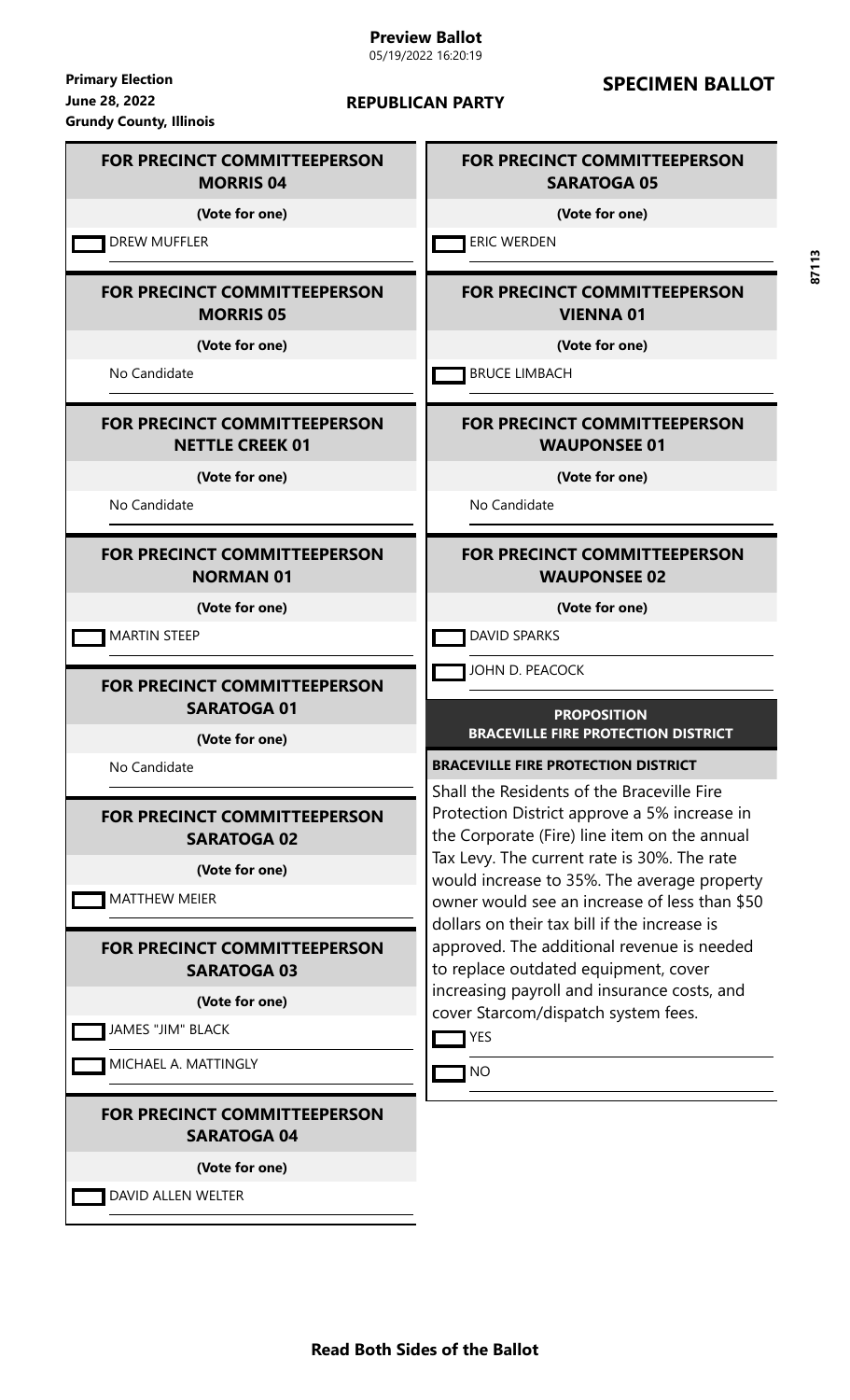05/19/2022 16:20:19

**June 28, 2022 Primary Election Grundy County, Illinois**

#### **REPUBLICAN PARTY**

# **SPECIMEN BALLOT**

## **FOR PRECINCT COMMITTEEPERSON SARATOGA 05**

**(Vote for one)**

**ERIC WERDEN** 

# **FOR PRECINCT COMMITTEEPERSON VIENNA 01**

**(Vote for one)**

**BRUCE LIMBACH** 

# **FOR PRECINCT COMMITTEEPERSON WAUPONSEE 01**

**(Vote for one)**

No Candidate

# **FOR PRECINCT COMMITTEEPERSON WAUPONSEE 02**

**(Vote for one)**

DAVID SPARKS

JOHN D. PEACOCK

#### **PROPOSITION BRACEVILLE FIRE PROTECTION DISTRICT**

**BRACEVILLE FIRE PROTECTION DISTRICT**

Shall the Residents of the Braceville Fire Protection District approve a 5% increase in the Corporate (Fire) line item on the annual Tax Levy. The current rate is 30%. The rate would increase to 35%. The average property owner would see an increase of less than \$50 dollars on their tax bill if the increase is approved. The additional revenue is needed to replace outdated equipment, cover increasing payroll and insurance costs, and cover Starcom/dispatch system fees.

**T**YES

**T**NO

**MORRIS 04 (Vote for one)**

**DREW MUFFLER** 

## **FOR PRECINCT COMMITTEEPERSON MORRIS 05**

**FOR PRECINCT COMMITTEEPERSON**

**(Vote for one)**

No Candidate

# **FOR PRECINCT COMMITTEEPERSON NETTLE CREEK 01**

**(Vote for one)**

No Candidate

#### **FOR PRECINCT COMMITTEEPERSON NORMAN 01**

**(Vote for one)**

MARTIN STEEP

## **FOR PRECINCT COMMITTEEPERSON SARATOGA 01**

**(Vote for one)**

No Candidate

# **FOR PRECINCT COMMITTEEPERSON SARATOGA 02**

**(Vote for one)**

**MATTHEW MEIER** 

# **FOR PRECINCT COMMITTEEPERSON SARATOGA 03**

**(Vote for one)**

JAMES "JIM" BLACK

MICHAEL A. MATTINGLY

# **FOR PRECINCT COMMITTEEPERSON SARATOGA 04**

**(Vote for one)**

**DAVID ALLEN WELTER** 

**Read Both Sides of the Ballot**

**87113**